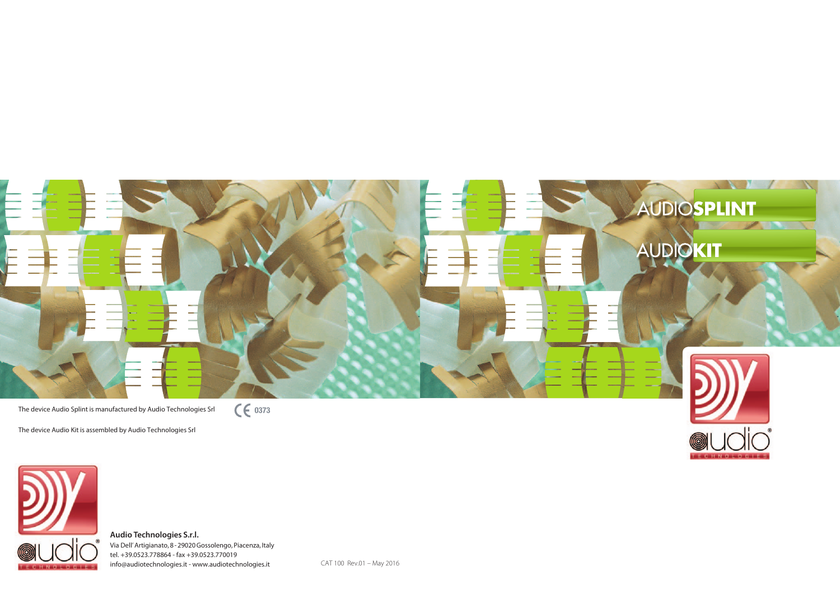**Audio Technologies S.r.l.** Via Dell' Artigianato, 8 - 29020 Gossolengo, Piacenza, Italy tel. +39.0523.778864 - fax +39.0523.770019 info@audiotechnologies.it - www.audiotechnologies.it



The device Audio Splint is manufactured by Audio Technologies Srl

 $C \epsilon$  0373

The device Audio Kit is assembled by Audio Technologies Srl



CAT 100 Rev.01 – May 2016